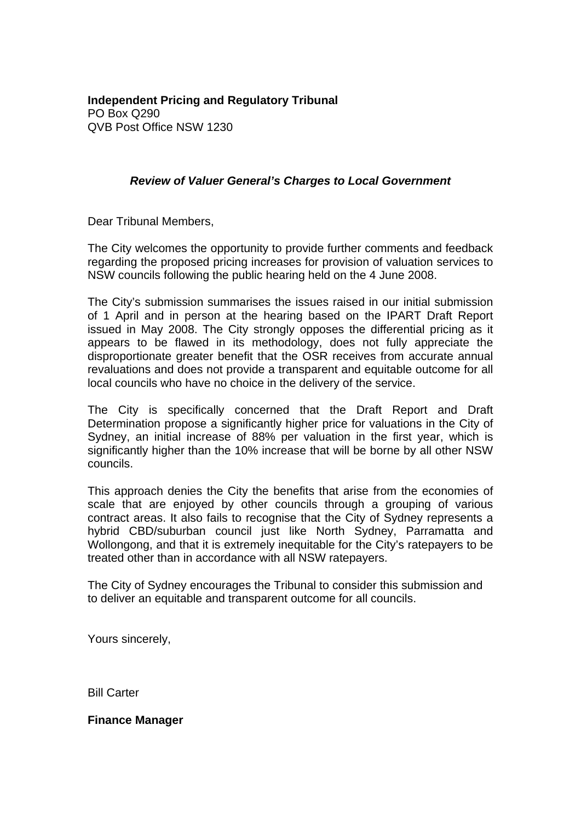**Independent Pricing and Regulatory Tribunal**  PO Box Q290 QVB Post Office NSW 1230

#### *Review of Valuer General's Charges to Local Government*

Dear Tribunal Members,

The City welcomes the opportunity to provide further comments and feedback regarding the proposed pricing increases for provision of valuation services to NSW councils following the public hearing held on the 4 June 2008.

The City's submission summarises the issues raised in our initial submission of 1 April and in person at the hearing based on the IPART Draft Report issued in May 2008. The City strongly opposes the differential pricing as it appears to be flawed in its methodology, does not fully appreciate the disproportionate greater benefit that the OSR receives from accurate annual revaluations and does not provide a transparent and equitable outcome for all local councils who have no choice in the delivery of the service.

The City is specifically concerned that the Draft Report and Draft Determination propose a significantly higher price for valuations in the City of Sydney, an initial increase of 88% per valuation in the first year, which is significantly higher than the 10% increase that will be borne by all other NSW councils.

This approach denies the City the benefits that arise from the economies of scale that are enjoyed by other councils through a grouping of various contract areas. It also fails to recognise that the City of Sydney represents a hybrid CBD/suburban council just like North Sydney, Parramatta and Wollongong, and that it is extremely inequitable for the City's ratepayers to be treated other than in accordance with all NSW ratepayers.

The City of Sydney encourages the Tribunal to consider this submission and to deliver an equitable and transparent outcome for all councils.

Yours sincerely,

Bill Carter

**Finance Manager**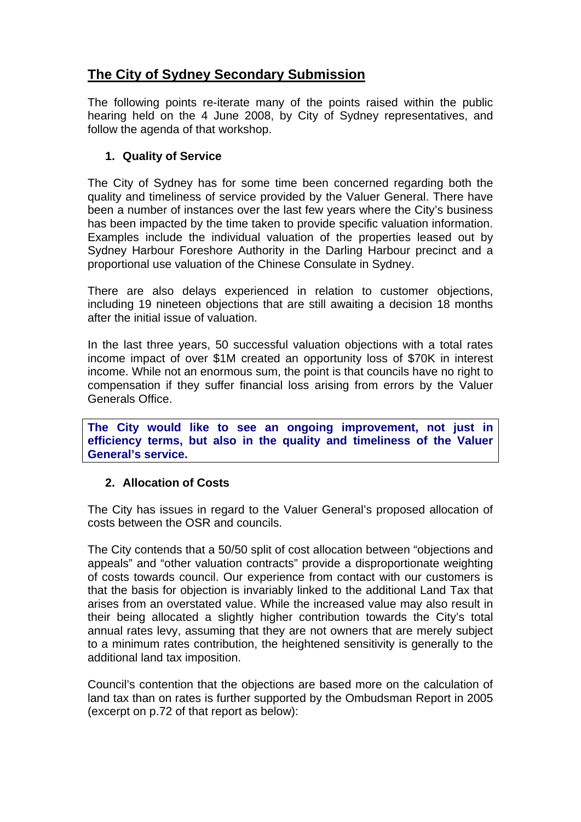# **The City of Sydney Secondary Submission**

The following points re-iterate many of the points raised within the public hearing held on the 4 June 2008, by City of Sydney representatives, and follow the agenda of that workshop.

## **1. Quality of Service**

The City of Sydney has for some time been concerned regarding both the quality and timeliness of service provided by the Valuer General. There have been a number of instances over the last few years where the City's business has been impacted by the time taken to provide specific valuation information. Examples include the individual valuation of the properties leased out by Sydney Harbour Foreshore Authority in the Darling Harbour precinct and a proportional use valuation of the Chinese Consulate in Sydney.

There are also delays experienced in relation to customer objections, including 19 nineteen objections that are still awaiting a decision 18 months after the initial issue of valuation.

In the last three years, 50 successful valuation objections with a total rates income impact of over \$1M created an opportunity loss of \$70K in interest income. While not an enormous sum, the point is that councils have no right to compensation if they suffer financial loss arising from errors by the Valuer Generals Office.

**The City would like to see an ongoing improvement, not just in efficiency terms, but also in the quality and timeliness of the Valuer General's service.** 

#### **2. Allocation of Costs**

The City has issues in regard to the Valuer General's proposed allocation of costs between the OSR and councils.

The City contends that a 50/50 split of cost allocation between "objections and appeals" and "other valuation contracts" provide a disproportionate weighting of costs towards council. Our experience from contact with our customers is that the basis for objection is invariably linked to the additional Land Tax that arises from an overstated value. While the increased value may also result in their being allocated a slightly higher contribution towards the City's total annual rates levy, assuming that they are not owners that are merely subject to a minimum rates contribution, the heightened sensitivity is generally to the additional land tax imposition.

Council's contention that the objections are based more on the calculation of land tax than on rates is further supported by the Ombudsman Report in 2005 (excerpt on p.72 of that report as below):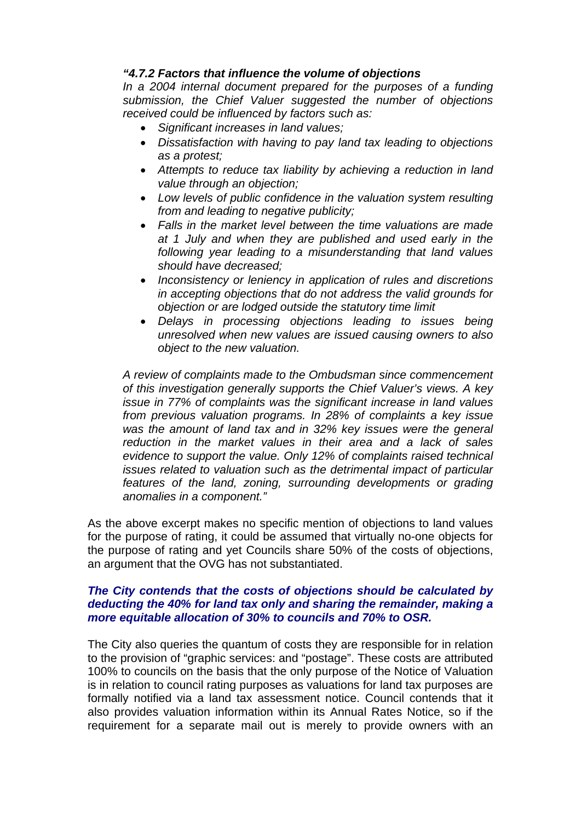### *"4.7.2 Factors that influence the volume of objections*

*In a 2004 internal document prepared for the purposes of a funding submission, the Chief Valuer suggested the number of objections received could be influenced by factors such as:* 

- *Significant increases in land values;*
- *Dissatisfaction with having to pay land tax leading to objections as a protest;*
- *Attempts to reduce tax liability by achieving a reduction in land value through an objection;*
- *Low levels of public confidence in the valuation system resulting from and leading to negative publicity;*
- *Falls in the market level between the time valuations are made at 1 July and when they are published and used early in the following year leading to a misunderstanding that land values should have decreased;*
- *Inconsistency or leniency in application of rules and discretions in accepting objections that do not address the valid grounds for objection or are lodged outside the statutory time limit*
- *Delays in processing objections leading to issues being unresolved when new values are issued causing owners to also object to the new valuation.*

*A review of complaints made to the Ombudsman since commencement of this investigation generally supports the Chief Valuer's views. A key issue in 77% of complaints was the significant increase in land values from previous valuation programs. In 28% of complaints a key issue was the amount of land tax and in 32% key issues were the general reduction in the market values in their area and a lack of sales evidence to support the value. Only 12% of complaints raised technical issues related to valuation such as the detrimental impact of particular features of the land, zoning, surrounding developments or grading anomalies in a component."* 

As the above excerpt makes no specific mention of objections to land values for the purpose of rating, it could be assumed that virtually no-one objects for the purpose of rating and yet Councils share 50% of the costs of objections, an argument that the OVG has not substantiated.

#### *The City contends that the costs of objections should be calculated by deducting the 40% for land tax only and sharing the remainder, making a more equitable allocation of 30% to councils and 70% to OSR.*

The City also queries the quantum of costs they are responsible for in relation to the provision of "graphic services: and "postage". These costs are attributed 100% to councils on the basis that the only purpose of the Notice of Valuation is in relation to council rating purposes as valuations for land tax purposes are formally notified via a land tax assessment notice. Council contends that it also provides valuation information within its Annual Rates Notice, so if the requirement for a separate mail out is merely to provide owners with an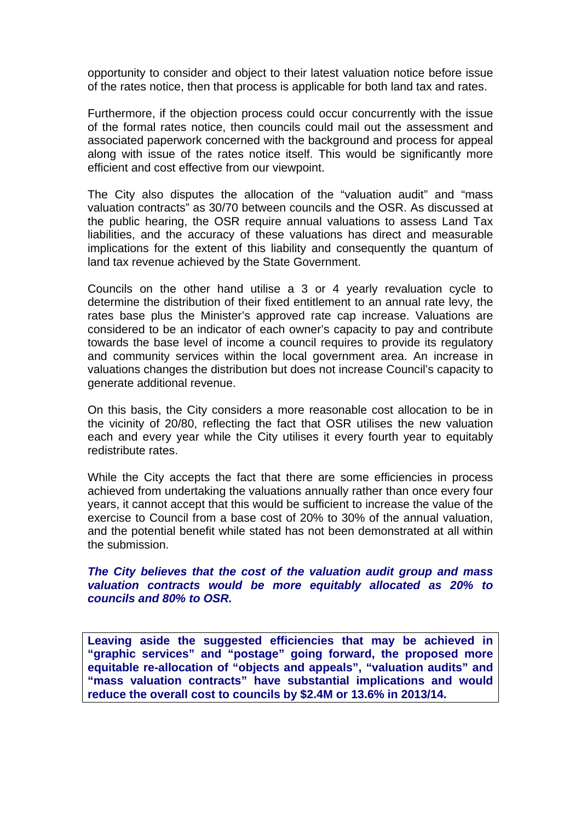opportunity to consider and object to their latest valuation notice before issue of the rates notice, then that process is applicable for both land tax and rates.

Furthermore, if the objection process could occur concurrently with the issue of the formal rates notice, then councils could mail out the assessment and associated paperwork concerned with the background and process for appeal along with issue of the rates notice itself. This would be significantly more efficient and cost effective from our viewpoint.

The City also disputes the allocation of the "valuation audit" and "mass valuation contracts" as 30/70 between councils and the OSR. As discussed at the public hearing, the OSR require annual valuations to assess Land Tax liabilities, and the accuracy of these valuations has direct and measurable implications for the extent of this liability and consequently the quantum of land tax revenue achieved by the State Government.

Councils on the other hand utilise a 3 or 4 yearly revaluation cycle to determine the distribution of their fixed entitlement to an annual rate levy, the rates base plus the Minister's approved rate cap increase. Valuations are considered to be an indicator of each owner's capacity to pay and contribute towards the base level of income a council requires to provide its regulatory and community services within the local government area. An increase in valuations changes the distribution but does not increase Council's capacity to generate additional revenue.

On this basis, the City considers a more reasonable cost allocation to be in the vicinity of 20/80, reflecting the fact that OSR utilises the new valuation each and every year while the City utilises it every fourth year to equitably redistribute rates.

While the City accepts the fact that there are some efficiencies in process achieved from undertaking the valuations annually rather than once every four years, it cannot accept that this would be sufficient to increase the value of the exercise to Council from a base cost of 20% to 30% of the annual valuation, and the potential benefit while stated has not been demonstrated at all within the submission.

*The City believes that the cost of the valuation audit group and mass valuation contracts would be more equitably allocated as 20% to councils and 80% to OSR.* 

**Leaving aside the suggested efficiencies that may be achieved in "graphic services" and "postage" going forward, the proposed more equitable re-allocation of "objects and appeals", "valuation audits" and "mass valuation contracts" have substantial implications and would reduce the overall cost to councils by \$2.4M or 13.6% in 2013/14.**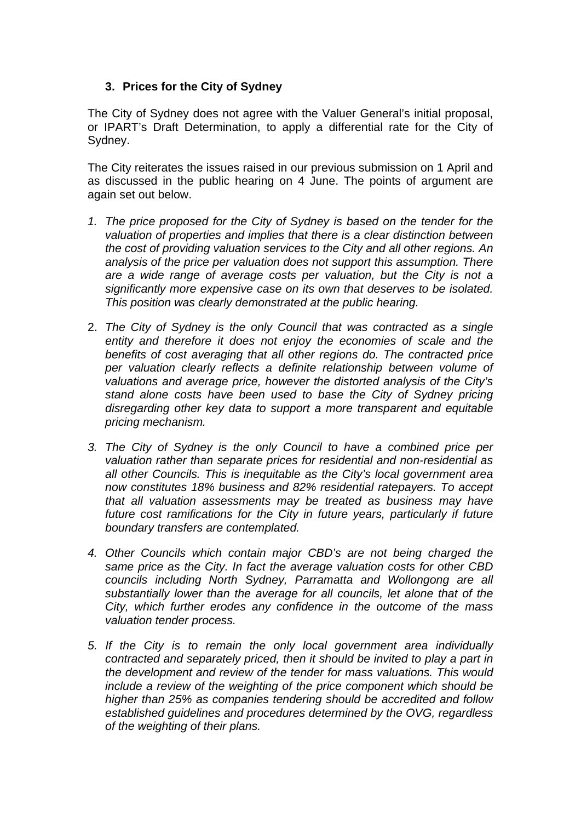## **3. Prices for the City of Sydney**

The City of Sydney does not agree with the Valuer General's initial proposal, or IPART's Draft Determination, to apply a differential rate for the City of Sydney.

The City reiterates the issues raised in our previous submission on 1 April and as discussed in the public hearing on 4 June. The points of argument are again set out below.

- *1. The price proposed for the City of Sydney is based on the tender for the valuation of properties and implies that there is a clear distinction between the cost of providing valuation services to the City and all other regions. An analysis of the price per valuation does not support this assumption. There are a wide range of average costs per valuation, but the City is not a significantly more expensive case on its own that deserves to be isolated. This position was clearly demonstrated at the public hearing.*
- 2. *The City of Sydney is the only Council that was contracted as a single entity and therefore it does not enjoy the economies of scale and the benefits of cost averaging that all other regions do. The contracted price per valuation clearly reflects a definite relationship between volume of valuations and average price, however the distorted analysis of the City's stand alone costs have been used to base the City of Sydney pricing disregarding other key data to support a more transparent and equitable pricing mechanism.*
- *3. The City of Sydney is the only Council to have a combined price per valuation rather than separate prices for residential and non-residential as all other Councils. This is inequitable as the City's local government area now constitutes 18% business and 82% residential ratepayers. To accept that all valuation assessments may be treated as business may have future cost ramifications for the City in future years, particularly if future boundary transfers are contemplated.*
- *4. Other Councils which contain major CBD's are not being charged the same price as the City. In fact the average valuation costs for other CBD councils including North Sydney, Parramatta and Wollongong are all substantially lower than the average for all councils, let alone that of the City, which further erodes any confidence in the outcome of the mass valuation tender process.*
- *5. If the City is to remain the only local government area individually contracted and separately priced, then it should be invited to play a part in the development and review of the tender for mass valuations. This would include a review of the weighting of the price component which should be higher than 25% as companies tendering should be accredited and follow established guidelines and procedures determined by the OVG, regardless of the weighting of their plans.*